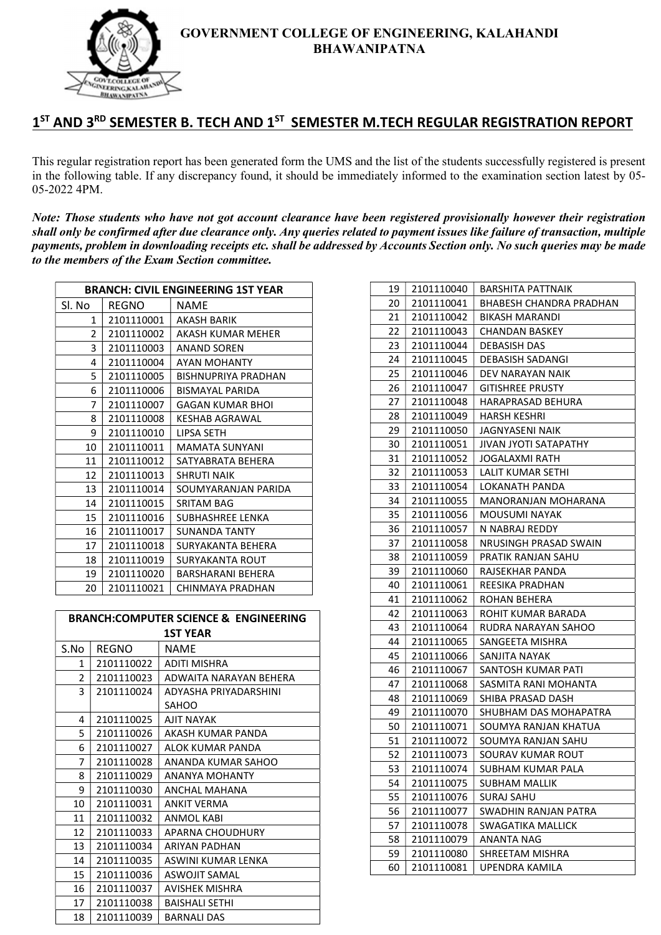

# 1<sup>ST</sup> AND 3<sup>RD</sup> SEMESTER B. TECH AND 1<sup>ST</sup> SEMESTER M.TECH REGULAR REGISTRATION REPORT

This regular registration report has been generated form the UMS and the list of the students successfully registered is present in the following table. If any discrepancy found, it should be immediately informed to the examination section latest by 05- 05-2022 4PM.

Note: Those students who have not got account clearance have been registered provisionally however their registration shall only be confirmed after due clearance only. Any queries related to payment issues like failure of transaction, multiple payments, problem in downloading receipts etc. shall be addressed by Accounts Section only. No such queries may be made to the members of the Exam Section committee.

| <b>BRANCH: CIVIL ENGINEERING 1ST YEAR</b> |              |                            |
|-------------------------------------------|--------------|----------------------------|
| Sl. No                                    | <b>REGNO</b> | <b>NAME</b>                |
| 1                                         | 2101110001   | AKASH BARIK                |
| 2                                         | 2101110002   | AKASH KUMAR MEHER          |
| 3                                         | 2101110003   | <b>ANAND SOREN</b>         |
| 4                                         | 2101110004   | AYAN MOHANTY               |
| 5                                         | 2101110005   | <b>BISHNUPRIYA PRADHAN</b> |
| 6                                         | 2101110006   | <b>BISMAYAL PARIDA</b>     |
| 7                                         | 2101110007   | GAGAN KUMAR BHOI           |
| 8                                         | 2101110008   | KESHAB AGRAWAL             |
| 9                                         | 2101110010   | LIPSA SETH                 |
| 10                                        | 2101110011   | <b>MAMATA SUNYANI</b>      |
| 11                                        | 2101110012   | SATYABRATA BEHERA          |
| 12                                        | 2101110013   | <b>SHRUTI NAIK</b>         |
| 13                                        | 2101110014   | SOUMYARANJAN PARIDA        |
| 14                                        | 2101110015   | SRITAM BAG                 |
| 15                                        | 2101110016   | SUBHASHREE LENKA           |
| 16                                        | 2101110017   | SUNANDA TANTY              |
| 17                                        | 2101110018   | SURYAKANTA BEHERA          |
| 18                                        | 2101110019   | SURYAKANTA ROUT            |
| 19                                        | 2101110020   | BARSHARANI BEHERA          |
| 20                                        | 2101110021   | CHINMAYA PRADHAN           |

| <b>BRANCH:COMPUTER SCIENCE &amp; ENGINEERING</b> |            |                        |
|--------------------------------------------------|------------|------------------------|
|                                                  |            | <b>1ST YEAR</b>        |
| S.No                                             | REGNO      | <b>NAME</b>            |
| 1                                                | 2101110022 | ADITI MISHRA           |
| 2                                                | 2101110023 | ADWAITA NARAYAN BEHERA |
| 3                                                | 2101110024 | ADYASHA PRIYADARSHINI  |
|                                                  |            | SAHOO                  |
| 4                                                | 2101110025 | <b>AJIT NAYAK</b>      |
| 5                                                | 2101110026 | AKASH KUMAR PANDA      |
| 6                                                | 2101110027 | ALOK KUMAR PANDA       |
| 7                                                | 2101110028 | ANANDA KUMAR SAHOO     |
| 8                                                | 2101110029 | ANANYA MOHANTY         |
| 9                                                | 2101110030 | ANCHAL MAHANA          |
| 10                                               | 2101110031 | <b>ANKIT VERMA</b>     |
| 11                                               | 2101110032 | ANMOL KABI             |
| 12                                               | 2101110033 | APARNA CHOUDHURY       |
| 13                                               | 2101110034 | <b>ARIYAN PADHAN</b>   |
| 14                                               | 2101110035 | ASWINI KUMAR LENKA     |
| 15                                               | 2101110036 | <b>ASWOJIT SAMAL</b>   |
| 16                                               | 2101110037 | AVISHEK MISHRA         |
| 17                                               | 2101110038 | <b>BAISHALI SETHI</b>  |
| 18                                               | 2101110039 | <b>BARNALI DAS</b>     |

| 19 | 2101110040 | BARSHITA PATTNAIK        |
|----|------------|--------------------------|
| 20 | 2101110041 | BHABESH CHANDRA PRADHAN  |
| 21 | 2101110042 | BIKASH MARANDI           |
| 22 | 2101110043 | CHANDAN BASKEY           |
| 23 | 2101110044 | <b>DEBASISH DAS</b>      |
| 24 | 2101110045 | DEBASISH SADANGI         |
| 25 | 2101110046 | DEV NARAYAN NAIK         |
| 26 | 2101110047 | <b>GITISHREE PRUSTY</b>  |
| 27 | 2101110048 | HARAPRASAD BEHURA        |
| 28 | 2101110049 | HARSH KESHRI             |
| 29 | 2101110050 | JAGNYASENI NAIK          |
| 30 | 2101110051 | JIVAN JYOTI SATAPATHY    |
| 31 | 2101110052 | JOGALAXMI RATH           |
| 32 | 2101110053 | LALIT KUMAR SETHI        |
| 33 | 2101110054 | LOKANATH PANDA           |
| 34 | 2101110055 | MANORANJAN MOHARANA      |
| 35 | 2101110056 | MOUSUMI NAYAK            |
| 36 | 2101110057 | N NABRAJ REDDY           |
| 37 | 2101110058 | NRUSINGH PRASAD SWAIN    |
| 38 | 2101110059 | PRATIK RANJAN SAHU       |
| 39 | 2101110060 | RAJSEKHAR PANDA          |
| 40 | 2101110061 | REESIKA PRADHAN          |
| 41 | 2101110062 | ROHAN BEHERA             |
| 42 | 2101110063 | ROHIT KUMAR BARADA       |
| 43 | 2101110064 | RUDRA NARAYAN SAHOO      |
| 44 | 2101110065 | SANGEETA MISHRA          |
| 45 | 2101110066 | SANJITA NAYAK            |
| 46 | 2101110067 | SANTOSH KUMAR PATI       |
| 47 | 2101110068 | SASMITA RANI MOHANTA     |
| 48 | 2101110069 | SHIBA PRASAD DASH        |
| 49 | 2101110070 | SHUBHAM DAS MOHAPATRA    |
| 50 | 2101110071 | SOUMYA RANJAN KHATUA     |
| 51 | 2101110072 | SOUMYA RANJAN SAHU       |
| 52 | 2101110073 | SOURAV KUMAR ROUT        |
| 53 | 2101110074 | SUBHAM KUMAR PALA        |
| 54 | 2101110075 | SUBHAM MALLIK            |
| 55 | 2101110076 | SURAJ SAHU               |
| 56 | 2101110077 | SWADHIN RANJAN PATRA     |
| 57 | 2101110078 | <b>SWAGATIKA MALLICK</b> |
| 58 | 2101110079 | ANANTA NAG               |
| 59 | 2101110080 | SHREETAM MISHRA          |
| 60 | 2101110081 | UPENDRA KAMILA           |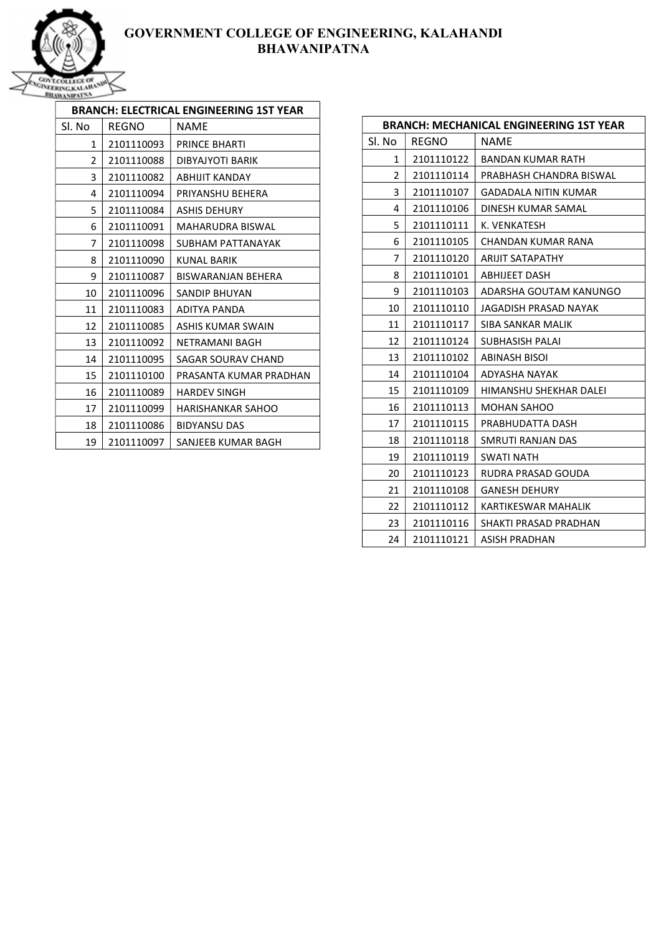

| BRANCH: ELECTRICAL ENGINEERING 1ST YEAR |            |                        |
|-----------------------------------------|------------|------------------------|
| Sl. No                                  | REGNO      | <b>NAME</b>            |
| 1                                       | 2101110093 | PRINCE BHARTI          |
| $\overline{2}$                          | 2101110088 | DIBYAJYOTI BARIK       |
| 3                                       | 2101110082 | ABHIJIT KANDAY         |
| 4                                       | 2101110094 | PRIYANSHU BEHERA       |
| 5                                       | 2101110084 | <b>ASHIS DEHURY</b>    |
| 6                                       | 2101110091 | MAHARUDRA BISWAL       |
| 7                                       | 2101110098 | SUBHAM PATTANAYAK      |
| 8                                       | 2101110090 | KUNAI BARIK            |
| 9                                       | 2101110087 | BISWARANJAN BEHERA     |
| 10                                      | 2101110096 | SANDIP BHUYAN          |
| 11                                      | 2101110083 | ADITYA PANDA           |
| 12                                      | 2101110085 | ASHIS KUMAR SWAIN      |
| 13                                      | 2101110092 | NFTRAMANI BAGH         |
| 14                                      | 2101110095 | SAGAR SOURAV CHAND     |
| 15                                      | 2101110100 | PRASANTA KUMAR PRADHAN |
| 16                                      | 2101110089 | <b>HARDEV SINGH</b>    |
| 17                                      | 2101110099 | HARISHANKAR SAHOO      |
| 18                                      | 2101110086 | <b>BIDYANSU DAS</b>    |
| 19                                      | 2101110097 | SANJEEB KUMAR BAGH     |

| <b>BRANCH: MECHANICAL ENGINEERING 1ST YEAR</b> |              |                             |
|------------------------------------------------|--------------|-----------------------------|
| Sl. No                                         | <b>REGNO</b> | <b>NAME</b>                 |
| 1                                              | 2101110122   | <b>BANDAN KUMAR RATH</b>    |
| $\overline{2}$                                 | 2101110114   | PRABHASH CHANDRA BISWAL     |
| 3                                              | 2101110107   | <b>GADADALA NITIN KUMAR</b> |
| 4                                              | 2101110106   | DINESH KUMAR SAMAL          |
| 5                                              | 2101110111   | K. VENKATESH                |
| 6                                              | 2101110105   | CHANDAN KUMAR RANA          |
| 7                                              | 2101110120   | <b>ARIJIT SATAPATHY</b>     |
| 8                                              | 2101110101   | ABHIJEET DASH               |
| 9                                              | 2101110103   | ADARSHA GOUTAM KANUNGO      |
| 10                                             | 2101110110   | JAGADISH PRASAD NAYAK       |
| 11                                             | 2101110117   | SIBA SANKAR MALIK           |
| 12                                             | 2101110124   | SUBHASISH PALAI             |
| 13                                             | 2101110102   | ABINASH BISOI               |
| 14                                             | 2101110104   | ADYASHA NAYAK               |
| 15                                             | 2101110109   | HIMANSHU SHEKHAR DALEI      |
| 16                                             | 2101110113   | <b>MOHAN SAHOO</b>          |
| 17                                             | 2101110115   | PRABHUDATTA DASH            |
| 18                                             | 2101110118   | SMRUTI RANJAN DAS           |
| 19                                             | 2101110119   | SWATI NATH                  |
| 20                                             | 2101110123   | RUDRA PRASAD GOUDA          |
| 21                                             | 2101110108   | <b>GANESH DEHURY</b>        |
| 22                                             | 2101110112   | KARTIKESWAR MAHALIK         |
| 23                                             | 2101110116   | SHAKTI PRASAD PRADHAN       |
| 24                                             | 2101110121   | ASISH PRADHAN               |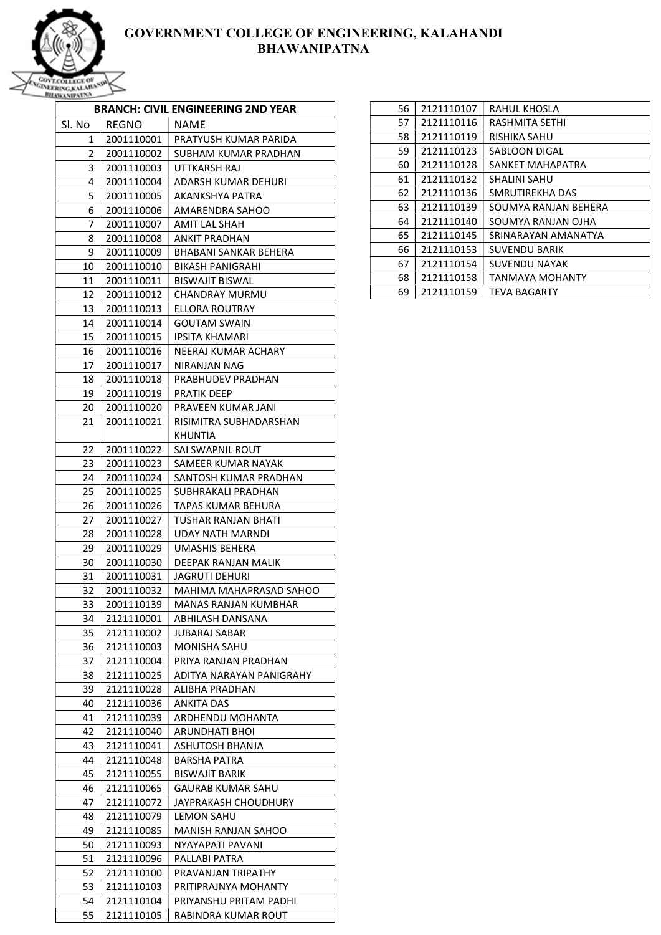

|          |                          | <b>BRANCH: CIVIL ENGINEERING 2ND YEAR</b> |
|----------|--------------------------|-------------------------------------------|
| Sl. No   | REGNO                    | <b>NAME</b>                               |
| 1        | 2001110001               | PRATYUSH KUMAR PARIDA                     |
| 2        | 2001110002               | SUBHAM KUMAR PRADHAN                      |
| 3        | 2001110003               | UTTKARSH RAJ                              |
| 4        | 2001110004               | ADARSH KUMAR DEHURI                       |
| 5        | 2001110005               | <b>AKANKSHYA PATRA</b>                    |
| 6        | 2001110006               | AMARENDRA SAHOO                           |
| 7        | 2001110007               | <b>AMIT LAL SHAH</b>                      |
| 8        | 2001110008               | <b>ANKIT PRADHAN</b>                      |
| 9        | 2001110009               | BHABANI SANKAR BEHERA                     |
| 10       | 2001110010               | BIKASH PANIGRAHI                          |
| 11       | 2001110011               | <b>BISWAJIT BISWAL</b>                    |
| 12       | 2001110012               | <b>CHANDRAY MURMU</b>                     |
| 13       | 2001110013               | <b>ELLORA ROUTRAY</b>                     |
| 14       | 2001110014               | <b>GOUTAM SWAIN</b>                       |
| 15       | 2001110015               | <b>IPSITA KHAMARI</b>                     |
| 16       | 2001110016               | NEERAJ KUMAR ACHARY                       |
| 17       | 2001110017               | NIRANJAN NAG                              |
| 18       | 2001110018               | PRABHUDEV PRADHAN                         |
| 19       | 2001110019               | PRATIK DEEP                               |
| 20       | 2001110020               | PRAVEEN KUMAR JANI                        |
| 21       | 2001110021               | RISIMITRA SUBHADARSHAN                    |
|          |                          | KHUNTIA                                   |
| 22       | 2001110022               | SAI SWAPNIL ROUT                          |
| 23       | 2001110023               | SAMEER KUMAR NAYAK                        |
| 24       | 2001110024               | SANTOSH KUMAR PRADHAN                     |
| 25       | 2001110025               | SUBHRAKALI PRADHAN                        |
| 26       | 2001110026               | TAPAS KUMAR BEHURA                        |
| 27       | 2001110027               | TUSHAR RANJAN BHATI                       |
| 28       | 2001110028               | UDAY NATH MARNDI                          |
| 29       | 2001110029               | UMASHIS BEHERA                            |
| 30       | 2001110030               | DEEPAK RANJAN MALIK                       |
| 31       | 2001110031               | JAGRUTI DEHURI                            |
| 32       | 2001110032               | MAHIMA MAHAPRASAD SAHOO                   |
| 33       | 2001110139               | MANAS RANJAN KUMBHAR                      |
| 34       | 2121110001               | ABHILASH DANSANA                          |
| 35       | 2121110002               | JUBARAJ SABAR                             |
| 36       | 2121110003               | MONISHA SAHU                              |
| 37       | 2121110004               | PRIYA RANJAN PRADHAN                      |
| 38       | 2121110025               | ADITYA NARAYAN PANIGRAHY                  |
| 39       | 2121110028               | ALIBHA PRADHAN                            |
| 40<br>41 | 2121110036               | ANKITA DAS<br>ARDHENDU MOHANTA            |
| 42       | 2121110039<br>2121110040 | ARUNDHATI BHOI                            |
| 43       | 2121110041               | ASHUTOSH BHANJA                           |
| 44       | 2121110048               | <b>BARSHA PATRA</b>                       |
| 45       | 2121110055               | <b>BISWAJIT BARIK</b>                     |
| 46       | 2121110065               | <b>GAURAB KUMAR SAHU</b>                  |
| 47       | 2121110072               | JAYPRAKASH CHOUDHURY                      |
| 48       | 2121110079               | LEMON SAHU                                |
| 49       | 2121110085               | MANISH RANJAN SAHOO                       |
| 50       | 2121110093               | NYAYAPATI PAVANI                          |
| 51       | 2121110096               | PALLABI PATRA                             |
| 52       | 2121110100               | PRAVANJAN TRIPATHY                        |
| 53       | 2121110103               | PRITIPRAJNYA MOHANTY                      |
| 54       | 2121110104               | PRIYANSHU PRITAM PADHI                    |
| 55       | 2121110105               | RABINDRA KUMAR ROUT                       |
|          |                          |                                           |

| 56 | 2121110107 | RAHUL KHOSLA         |
|----|------------|----------------------|
| 57 | 2121110116 | RASHMITA SETHI       |
| 58 | 2121110119 | RISHIKA SAHU         |
| 59 | 2121110123 | SABLOON DIGAL        |
| 60 | 2121110128 | SANKET MAHAPATRA     |
| 61 | 2121110132 | SHALINI SAHU         |
| 62 | 2121110136 | SMRUTIREKHA DAS      |
| 63 | 2121110139 | SOUMYA RANJAN BEHERA |
| 64 | 2121110140 | SOUMYA RANJAN OJHA   |
| 65 | 2121110145 | SRINARAYAN AMANATYA  |
| 66 | 2121110153 | <b>SUVENDU BARIK</b> |
| 67 | 2121110154 | <b>SUVENDU NAYAK</b> |
| 68 | 2121110158 | TANMAYA MOHANTY      |
| 69 | 2121110159 | TEVA BAGARTY         |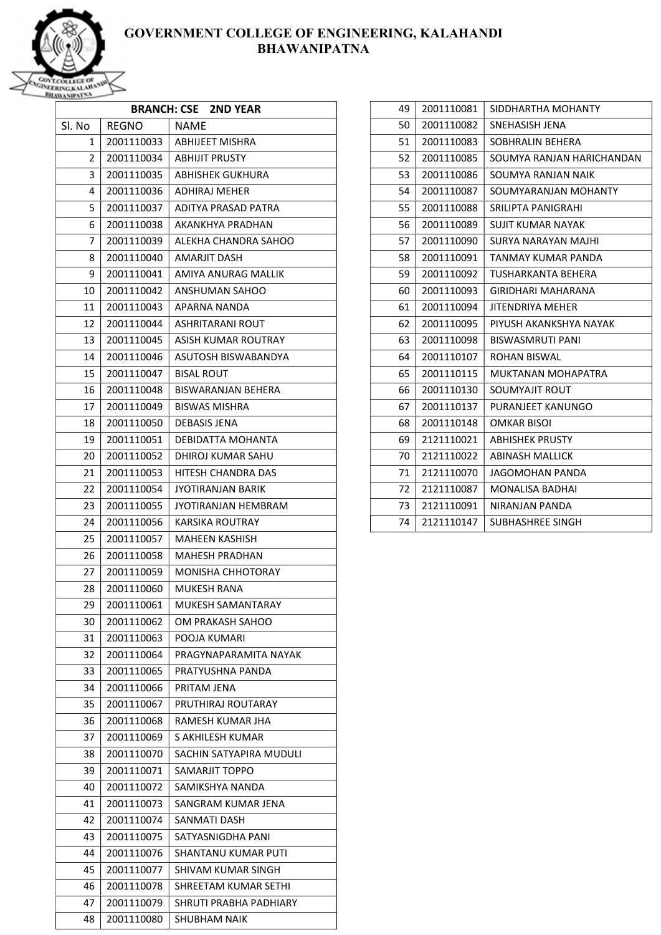

| <b>BRANCH: CSE 2ND YEAR</b> |                          |                                   |
|-----------------------------|--------------------------|-----------------------------------|
| Sl. No                      | <b>REGNO</b>             | <b>NAME</b>                       |
| 1                           | 2001110033               | ABHIJEET MISHRA                   |
| 2                           | 2001110034               | <b>ABHIJIT PRUSTY</b>             |
| 3                           | 2001110035               | ABHISHEK GUKHURA                  |
| 4                           | 2001110036               | ADHIRAJ MEHER                     |
| 5                           | 2001110037               | ADITYA PRASAD PATRA               |
| 6                           | 2001110038               | AKANKHYA PRADHAN                  |
| 7                           | 2001110039               | ALEKHA CHANDRA SAHOO              |
| 8                           | 2001110040               | AMARJIT DASH                      |
| 9                           | 2001110041               | AMIYA ANURAG MALLIK               |
| 10                          | 2001110042               | ANSHUMAN SAHOO                    |
| 11                          | 2001110043               | APARNA NANDA                      |
| 12                          | 2001110044               | ASHRITARANI ROUT                  |
| 13                          | 2001110045               | ASISH KUMAR ROUTRAY               |
| 14                          | 2001110046               | ASUTOSH BISWABANDYA               |
| 15                          | 2001110047               | BISAL ROUT                        |
| 16                          | 2001110048               | BISWARANJAN BEHERA                |
| 17                          | 2001110049               | <b>BISWAS MISHRA</b>              |
| 18                          | 2001110050               | <b>DEBASIS JENA</b>               |
| 19                          | 2001110051               | DEBIDATTA MOHANTA                 |
| 20                          | 2001110052               | DHIROJ KUMAR SAHU                 |
| 21                          | 2001110053               | HITESH CHANDRA DAS                |
| 22                          | 2001110054               | JYOTIRANJAN BARIK                 |
| 23                          | 2001110055               | JYOTIRANJAN HEMBRAM               |
| 24                          | 2001110056               | KARSIKA ROUTRAY                   |
| 25                          | 2001110057               | MAHEEN KASHISH                    |
| 26                          | 2001110058               | <b>MAHESH PRADHAN</b>             |
| 27                          | 2001110059               | MONISHA CHHOTORAY                 |
| 28                          | 2001110060               | MUKESH RANA                       |
| 29                          | 2001110061               | MUKESH SAMANTARAY                 |
| 30                          | 2001110062               | OM PRAKASH SAHOO                  |
| 31                          | 2001110063               | POOJA KUMARI                      |
| 32                          | 2001110064               | PRAGYNAPARAMITA NAYAK             |
| 33                          | 2001110065               | PRATYUSHNA PANDA                  |
| 34<br>35                    | 2001110066<br>2001110067 | PRITAM JENA<br>PRUTHIRAJ ROUTARAY |
| 36                          | 2001110068               | RAMESH KUMAR JHA                  |
| 37                          | 2001110069               | S AKHILESH KUMAR                  |
| 38                          | 2001110070               | SACHIN SATYAPIRA MUDULI           |
| 39                          | 2001110071               | SAMARJIT TOPPO                    |
| 40                          | 2001110072               | SAMIKSHYA NANDA                   |
| 41                          | 2001110073               | SANGRAM KUMAR JENA                |
| 42                          | 2001110074               | SANMATI DASH                      |
| 43                          | 2001110075               | SATYASNIGDHA PANI                 |
| 44                          | 2001110076               | SHANTANU KUMAR PUTI               |
| 45                          | 2001110077               | SHIVAM KUMAR SINGH                |
| 46                          | 2001110078               | SHREETAM KUMAR SETHI              |
| 47                          | 2001110079               | SHRUTI PRABHA PADHIARY            |
| 48                          | 2001110080               | <b>SHUBHAM NAIK</b>               |

| 49 | 2001110081 | SIDDHARTHA MOHANTY        |
|----|------------|---------------------------|
| 50 | 2001110082 | SNEHASISH JENA            |
| 51 | 2001110083 | SOBHRALIN BEHERA          |
| 52 | 2001110085 | SOUMYA RANJAN HARICHANDAN |
| 53 | 2001110086 | SOUMYA RANJAN NAIK        |
| 54 | 2001110087 | SOUMYARANJAN MOHANTY      |
| 55 | 2001110088 | SRILIPTA PANIGRAHI        |
| 56 | 2001110089 | <b>SUJIT KUMAR NAYAK</b>  |
| 57 | 2001110090 | SURYA NARAYAN MAJHI       |
| 58 | 2001110091 | TANMAY KUMAR PANDA        |
| 59 | 2001110092 | TUSHARKANTA BEHERA        |
| 60 | 2001110093 | GIRIDHARI MAHARANA        |
| 61 | 2001110094 | JITENDRIYA MEHER          |
| 62 | 2001110095 | PIYUSH AKANKSHYA NAYAK    |
| 63 | 2001110098 | <b>BISWASMRUTI PANI</b>   |
| 64 | 2001110107 | <b>ROHAN BISWAL</b>       |
| 65 | 2001110115 | <b>MUKTANAN MOHAPATRA</b> |
| 66 | 2001110130 | SOUMYAJIT ROUT            |
| 67 | 2001110137 | PURANJEET KANUNGO         |
| 68 | 2001110148 | OMKAR BISOI               |
| 69 | 2121110021 | <b>ABHISHEK PRUSTY</b>    |
| 70 | 2121110022 | <b>ABINASH MALLICK</b>    |
| 71 | 2121110070 | JAGOMOHAN PANDA           |
| 72 | 2121110087 | <b>MONALISA BADHAI</b>    |
| 73 | 2121110091 | NIRANJAN PANDA            |
| 74 | 2121110147 | SUBHASHREE SINGH          |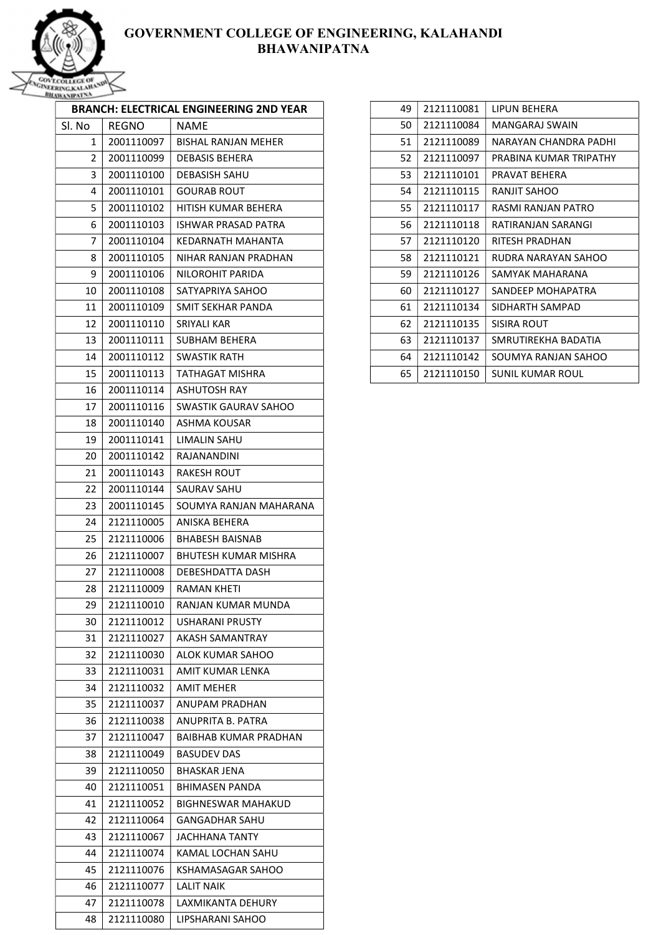

|        |            | <b>BRANCH: ELECTRICAL ENGINEERING 2ND YEAR</b> |
|--------|------------|------------------------------------------------|
| Sl. No | REGNO      | NAME                                           |
| 1      | 2001110097 | <b>BISHAL RANJAN MEHER</b>                     |
| 2      | 2001110099 | DEBASIS BEHERA                                 |
| 3      | 2001110100 | <b>DEBASISH SAHU</b>                           |
| 4      | 2001110101 | GOURAB ROUT                                    |
| 5      | 2001110102 | HITISH KUMAR BEHERA                            |
| 6      | 2001110103 | ISHWAR PRASAD PATRA                            |
| 7      | 2001110104 | KEDARNATH MAHANTA                              |
| 8      | 2001110105 | NIHAR RANJAN PRADHAN                           |
| 9      | 2001110106 | NILOROHIT PARIDA                               |
| 10     | 2001110108 | SATYAPRIYA SAHOO                               |
| 11     | 2001110109 | SMIT SEKHAR PANDA                              |
| 12     | 2001110110 | SRIYALI KAR                                    |
| 13     | 2001110111 | <b>SUBHAM BEHERA</b>                           |
| 14     | 2001110112 | SWASTIK RATH                                   |
| 15     | 2001110113 | TATHAGAT MISHRA                                |
| 16     | 2001110114 | ASHUTOSH RAY                                   |
| 17     | 2001110116 | SWASTIK GAURAV SAHOO                           |
| 18     | 2001110140 | ASHMA KOUSAR                                   |
| 19     | 2001110141 | LIMALIN SAHU                                   |
| 20     | 2001110142 | RAJANANDINI                                    |
| 21     | 2001110143 | RAKESH ROUT                                    |
| 22     | 2001110144 | SAURAV SAHU                                    |
| 23     | 2001110145 | SOUMYA RANJAN MAHARANA                         |
| 24     | 2121110005 | ANISKA BEHERA                                  |
| 25     | 2121110006 | BHABESH BAISNAB                                |
| 26     | 2121110007 | <b>BHUTESH KUMAR MISHRA</b>                    |
| 27     | 2121110008 | DEBESHDATTA DASH                               |
| 28     | 2121110009 | RAMAN KHETI                                    |
| 29     | 2121110010 | RANJAN KUMAR MUNDA                             |
| 30     | 2121110012 | <b>USHARANI PRUSTY</b>                         |
| 31     | 2121110027 | AKASH SAMANTRAY                                |
| 32     | 2121110030 | ALOK KUMAR SAHOO                               |
| 33     | 2121110031 | AMIT KUMAR LENKA                               |
| 34     | 2121110032 | AMIT MEHER                                     |
| 35     | 2121110037 | ANUPAM PRADHAN                                 |
| 36     | 2121110038 | ANUPRITA B. PATRA                              |
| 37     | 2121110047 | <b>BAIBHAB KUMAR PRADHAN</b>                   |
| 38     | 2121110049 | <b>BASUDEV DAS</b>                             |
| 39     | 2121110050 | <b>BHASKAR JENA</b>                            |
| 40     | 2121110051 | <b>BHIMASEN PANDA</b>                          |
| 41     | 2121110052 | <b>BIGHNESWAR MAHAKUD</b>                      |
| 42     | 2121110064 | <b>GANGADHAR SAHU</b>                          |
| 43     | 2121110067 | <b>JACHHANA TANTY</b>                          |
| 44     | 2121110074 | KAMAL LOCHAN SAHU                              |
| 45     | 2121110076 | KSHAMASAGAR SAHOO                              |
| 46     | 2121110077 | <b>LALIT NAIK</b>                              |
| 47     | 2121110078 | LAXMIKANTA DEHURY                              |
| 48     | 2121110080 | LIPSHARANI SAHOO                               |

| 49<br>2121110081 | LIPUN BEHERA           |
|------------------|------------------------|
| 50<br>2121110084 | MANGARAJ SWAIN         |
| 51<br>2121110089 | NARAYAN CHANDRA PADHI  |
| 52<br>2121110097 | PRABINA KUMAR TRIPATHY |
| 53<br>2121110101 | PRAVAT BEHERA          |
| 54<br>2121110115 | RANJIT SAHOO           |
| 55<br>2121110117 | RASMI RANJAN PATRO     |
| 56<br>2121110118 | RATIRANIAN SARANGI     |
| 57<br>2121110120 | RITESH PRADHAN         |
| 58<br>2121110121 | RUDRA NARAYAN SAHOO    |
| 59<br>2121110126 | SAMYAK MAHARANA        |
| 60<br>2121110127 | SANDEFP MOHAPATRA      |
| 61<br>2121110134 | SIDHARTH SAMPAD        |
| 62<br>2121110135 | SISIRA ROUT            |
| 2121110137<br>63 | SMRUTIREKHA BADATIA    |
| 64<br>2121110142 | SOUMYA RANJAN SAHOO    |
| 65<br>2121110150 | SUNIL KUMAR ROUL       |